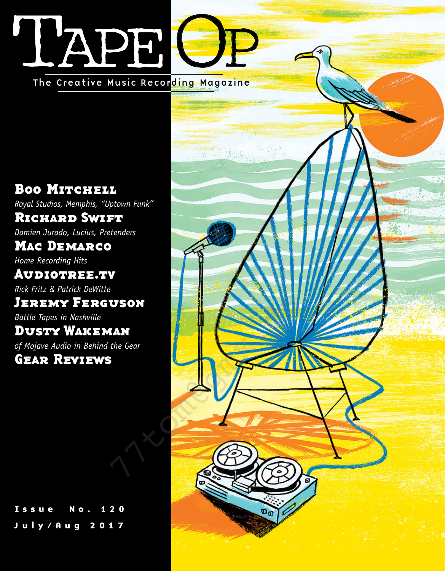## L'APE [The Creative Music Recording Magazine](#page-0-0)

Boo MITCHELL *Royal Studios, Memphis, "Uptown Funk"* [Richard Swift](#page-0-0) *Damien Jurado, Lucius, Pretenders* [Mac Demarco](#page-0-0) *Home Recording Hits*

[Audiotree.tv](#page-0-0) *Rick Fritz & Patrick DeWitte* [Jeremy Ferguson](#page-0-0)

*Battle Tapes in Nashville*

[Dusty Wakeman](#page-0-0) *of Mojave Audio in Behind the Gear*

[Issue No. 120](#page-0-0) July/Aug 2017

<span id="page-0-1"></span><span id="page-0-0"></span>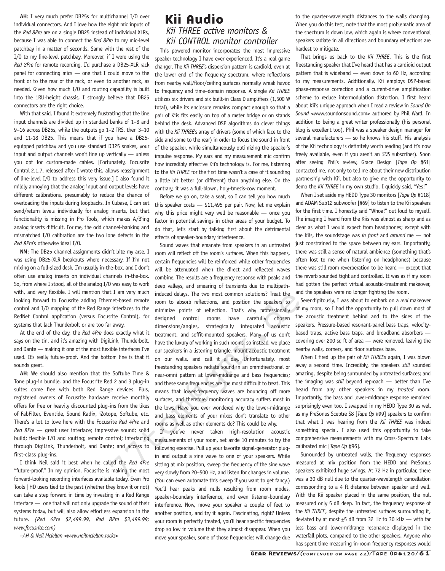AH: I very much prefer DB25s for multichannel I/O over individual connectors. And I love how the eight mic inputs of the *Red 8Pre* are on a single DB25 instead of individual XLRs, because I was able to connect the *Red 8Pre* to my mic-level patchbay in a matter of seconds. Same with the rest of the I/O to my line-level patchbay. Moreover, if I were using the *Red 8Pre* for remote recording, I'd purchase a DB25-XLR rack panel for connecting mics — one that I could move to the front or to the rear of the rack, or even to another rack, as needed. Given how much I/O and routing capability is built into the 1RU-height chassis, I strongly believe that DB25 connectors are the right choice.

With that said, I found it extremely frustrating that the line input channels are divided up in standard banks of 1–8 and 9–16 across DB25s, while the outputs go 1–2 TRS, then 3–10 and 11-18 DB25. This means that if you have a DB25 equipped patchbay and you use standard DB25 snakes, your input and output channels won't line up vertically — unless you opt for custom-made cables. [Fortunately, Focusrite Control 2.1.7, released after I wrote this, allows reassignment of line-level I/O to address this very issue.] I also found it mildly annoying that the analog input and output levels have different calibrations, presumably to reduce the chance of overloading the inputs during loopbacks. In Cubase, I can set send/return levels individually for analog inserts, but that functionality is missing in Pro Tools, which makes A/B'ing analog inserts difficult. For me, the odd channel-banking and mismatched I/O calibration are the two lone defects in the *Red 8Pre*'s otherwise ideal I/O.

**NM**: The DB25 channel assignments didn't bite my arse. I was using DB25-XLR breakouts where necessary. If I'm not mixing on a full-sized desk, I'm usually in-the-box, and I don't often use analog inserts on individual channels in-the-box. So, from where I stood, all of the analog I/O was easy to work with, and very flexible. I will mention that I am very much looking forward to Focusrite adding Ethernet-based remote control and I/O mapping of the Red Range interfaces to the RedNet Control application (versus Focusrite Control), for systems that lack Thunderbolt or are too far away.

At the end of the day, the *Red 4Pre* does exactly what it says on the tin, and it's amazing with DigiLink, Thunderbolt, and Dante — making it one of the most flexible interfaces I've used. It's really future-proof. And the bottom line is that it sounds great.

**AH**: We should also mention that the Softube Time & Tone plug-in bundle, and the Focusrite Red 2 and 3 plug-in suites come free with both Red Range devices. Plus, registered owners of Focusrite hardware receive monthly offers for free or heavily discounted plug-ins from the likes of FabFilter, Eventide, Sound Radix, iZotope, Softube, etc. There's a lot to love here with the Focusrite *Red 4Pre* and *Red 8Pre* — great user interface; impressive sound; solid build; flexible I/O and routing; remote control; interfacing through DigiLink, Thunderbolt, and Dante; and access to first-class plug-ins.

I think Neil said it best when he called the *Red 4Pre* "future-proof." In my opinion, Focusrite is making the most forward-looking recording interfaces available today. Even Pro Tools | HD users tied to the past (whether they know it or not) can take a step forward in time by investing in a Red Range interface — one that will not only upgrade the sound of their systems today, but will also allow effortless expansion in the future. *(Red 4Pre \$2,499.99, Red 8Pre \$3,499.99; [www.focusrite.com\)](http://www.focusrite.com)*

*–AH & Neil Mclellan [<www.neilmclellan.rocks>](http://www.neilmclellan.rocks)*

## Kii Audio *Kii THREE active monitors & Kii CONTROL monitor controller*

This powered monitor incorporates the most impressive speaker technology I have ever experienced. It's a real game changer. The *Kii THREE*'s dispersion pattern is cardioid, even at the lower end of the frequency spectrum, where reflections from nearby wall/floor/ceiling surfaces normally wreak havoc to frequency and time–domain response. A single *Kii THREE* utilizes six drivers and six built-in Class D amplifiers (1,500 W total), while its enclosure remains compact enough so that a pair of Kiis fits easily on top of a meter bridge or on stands behind the desk. Advanced DSP algorithms do clever things with the *Kii THREE*'s array of drivers (some of which face to the side and some to the rear) in order to focus the sound in front of the speaker, while simultaneously optimizing the speaker's impulse response. My ears and my measurement mic confirm how incredibly effective Kii's technology is. For me, listening to the *Kii THREE* for the first time wasn't a case of it sounding a little bit better (or different) than anything else. On the contrary, it was a full-blown, holy-tmesis-cow moment.

Before we go on, take a seat, so I can tell you how much this speaker costs — \$11,495 per pair. Now, let me explain why this price might very well be reasonable — once you factor in potential savings in other areas of your budget. To do that, let's start by talking first about the detrimental effects of speaker-boundary interference.

Sound waves that emanate from speakers in an untreated room will reflect off the room's surfaces. When this happens, certain frequencies will be reinforced while other frequencies will be attenuated when the direct and reflected waves combine. The results are a frequency response with peaks and deep valleys, and smearing of transients due to multipathinduced delays. The two most common solutions? Treat the room to absorb reflections, and position the speakers to minimize points of reflection. That's why professionally of my room, so I had the opportunity to pull down most of designed control rooms have carefully chosen dimensions/angles, strategically integrated acoustic treatment, and soffit-mounted speakers. Many of us don't have the luxury of working in such rooms, so instead, we place our speakers in a listening triangle, mount acoustic treatment on our walls, and call it a day. Unfortunately, most freestanding speakers radiate sound in an omnidirectional or near-omni pattern at lower-midrange and bass frequencies; and these same frequencies are the most difficult to treat. This means that lower-frequency waves are bouncing off more surfaces, and therefore, monitoring accuracy suffers most in the lows. Have you ever wondered why the lower-midrange and bass elements of your mixes don't translate to other rooms as well as other elements do? This could be why. The measure of the boom to about perflection, and persident the peakers to the meth-based emotic points of reflection. That's why professionally of the simulation of the simulation of the speeds of the control), for desig

If you've never taken high-resolution acoustic measurements of your room, set aside 10 minutes to try the following exercise. Pull up your favorite signal-generator plugin and output a sine wave to one of your speakers. While sitting at mix position, sweep the frequency of the sine wave very slowly from 20–500 Hz, and listen for changes in volume. (You can even automate this sweep if you want to get fancy.) You'll hear peaks and nulls resulting from room modes, speaker-boundary interference, and even listener-boundary interference. Now, move your speaker a couple of feet to another position, and try it again. Fascinating, right? Unless your room is perfectly treated, you'll hear specific frequencies drop so low in volume that they almost disappear. When you move your speaker, some of those frequencies will change due

to the quarter-wavelength distances to the walls changing. When you do this test, note that the most problematic area of the spectrum is down low, which again is where conventional speakers radiate in all directions and boundary reflections are hardest to mitigate.

That brings us back to the *Kii THREE*. This is the first freestanding speaker that I've heard that has a cardioid output pattern that is wideband — even down to 60 Hz, according to my measurements. Additionally, Kii employs DSP-based phase-response correction and a current-drive amplification scheme to reduce intermodulation distortion. I first heard about Kii's unique approach when I read a review in *Sound On Sound* <www.soundonsound.com> authored by Phil Ward. In addition to being a great writer professionally (his personal blog is excellent too), Phil was a speaker design manager for several manufacturers — so he knows his stuff. His analysis of the Kii technology is definitely worth reading (and it's now freely available, even if you aren't an *SOS* subscriber). Soon after seeing Phil's review, Grace Design [*Tape Op* #61] contacted me, not only to tell me about their new distribution partnership with Kii, but also to give me the opportunity to demo the *Kii THREE* in my own studio. I quickly said, "Yes!"

When I set aside my HEDD Type 30 monitors [*Tape Op* #118] and ADAM Sub12 subwoofer [#69] to listen to the Kii speakers for the first time, I honestly said "Whoa!" out loud to myself. The imaging I heard from the Kiis was almost as sharp and as clear as what I would expect from headphones; except with the Kiis, the soundstage was *in front* and *around* me — not just constrained to the space between my ears. Importantly, there was still a sense of natural ambience (something that's often lost to me when listening on headphones) because there was still room reverberation to be heard — except that the reverb sounded tight and controlled. It was as if my room had gotten the perfect virtual acoustic-treatment makeover, and the speakers were no longer fighting the room.

Serendipitously, I was about to embark on a *real* makeover the acoustic treatment behind and to the sides of the speakers. Pressure-based resonant-panel bass traps, velocitybased traps, active bass traps, and broadband absorbers covering over 200 sq ft of area — were removed, leaving the nearby walls, corners, and floor surfaces bare.

When I fired up the pair of *Kii THREE*s again, I was blown away a second time. Incredibly, the speakers *still* sounded amazing, despite being surrounded by untreated surfaces; and the imaging was *still* beyond reproach — better than I've heard from any other speakers in my *treated* room. Importantly, the bass and lower-midrange response remained surprisingly even too. I swapped in my HEDD Type 30 as well as my PreSonus Sceptre S8 [*Tape Op* #99] speakers to confirm that what I was hearing from the *Kii THREE* was indeed something special. I also used this opportunity to take comprehensive measurements with my Cross·Spectrum Labs calibrated mic [*Tape Op* #96].

Surrounded by untreated walls, the frequency responses measured at mix position from the HEDD and PreSonus speakers exhibited huge swings. At 72 Hz in particular, there was a 30 dB null due to the quarter-wavelength cancellation corresponding to a 4 ft distance between speaker and wall. With the Kii speaker placed in the same position, the null measured only 5 dB deep. In fact, the frequency response of the *Kii THREE*, despite the untreated surfaces surrounding it, deviated by at most  $\pm$ 5 dB from 32 Hz to 30 kHz  $-$  with far less bass and lower-midrange resonance displayed in the waterfall plots, compared to the other speakers. Anyone who has spent time measuring in-room frequency responses would